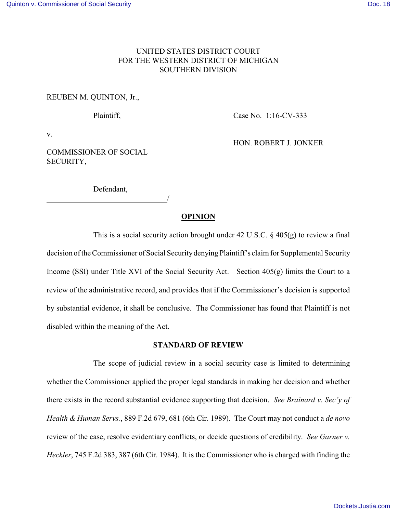## UNITED STATES DISTRICT COURT FOR THE WESTERN DISTRICT OF MICHIGAN SOUTHERN DIVISION

 $\overline{a}$ 

#### REUBEN M. QUINTON, Jr.,

Plaintiff, Case No. 1:16-CV-333

v.

COMMISSIONER OF SOCIAL SECURITY,

HON. ROBERT J. JONKER

Defendant, /

### **OPINION**

This is a social security action brought under 42 U.S.C. § 405(g) to review a final decision of the Commissioner of Social Securitydenying Plaintiff's claim for Supplemental Security Income (SSI) under Title XVI of the Social Security Act. Section 405(g) limits the Court to a review of the administrative record, and provides that if the Commissioner's decision is supported by substantial evidence, it shall be conclusive. The Commissioner has found that Plaintiff is not disabled within the meaning of the Act.

#### **STANDARD OF REVIEW**

The scope of judicial review in a social security case is limited to determining whether the Commissioner applied the proper legal standards in making her decision and whether there exists in the record substantial evidence supporting that decision. *See Brainard v. Sec'y of Health & Human Servs.*, 889 F.2d 679, 681 (6th Cir. 1989). The Court may not conduct a *de novo* review of the case, resolve evidentiary conflicts, or decide questions of credibility. *See Garner v. Heckler*, 745 F.2d 383, 387 (6th Cir. 1984). It is the Commissioner who is charged with finding the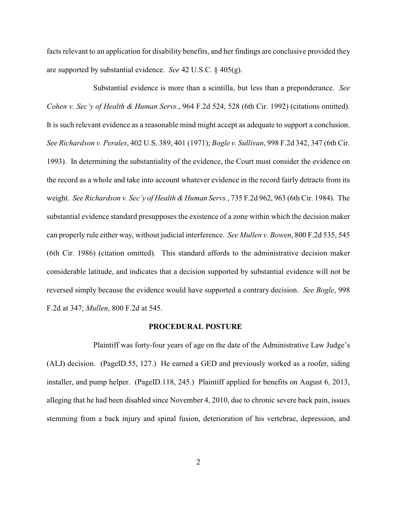facts relevant to an application for disability benefits, and her findings are conclusive provided they are supported by substantial evidence. *See* 42 U.S.C. § 405(g).

Substantial evidence is more than a scintilla, but less than a preponderance. *See Cohen v. Sec'y of Health & Human Servs.*, 964 F.2d 524, 528 (6th Cir. 1992) (citations omitted). It is such relevant evidence as a reasonable mind might accept as adequate to support a conclusion. *See Richardson v. Perales*, 402 U.S. 389, 401 (1971); *Bogle v. Sullivan*, 998 F.2d 342, 347 (6th Cir. 1993). In determining the substantiality of the evidence, the Court must consider the evidence on the record as a whole and take into account whatever evidence in the record fairly detracts from its weight. *See Richardson v. Sec'y of Health & Human Servs.*, 735 F.2d 962, 963 (6th Cir. 1984). The substantial evidence standard presupposes the existence of a zone within which the decision maker can properly rule either way, without judicial interference. *See Mullen v. Bowen*, 800 F.2d 535, 545 (6th Cir. 1986) (citation omitted). This standard affords to the administrative decision maker considerable latitude, and indicates that a decision supported by substantial evidence will not be reversed simply because the evidence would have supported a contrary decision. *See Bogle*, 998 F.2d at 347; *Mullen*, 800 F.2d at 545.

#### **PROCEDURAL POSTURE**

Plaintiff was forty-four years of age on the date of the Administrative Law Judge's (ALJ) decision. (PageID.55, 127.) He earned a GED and previously worked as a roofer, siding installer, and pump helper. (PageID.118, 245.) Plaintiff applied for benefits on August 6, 2013, alleging that he had been disabled since November 4, 2010, due to chronic severe back pain, issues stemming from a back injury and spinal fusion, deterioration of his vertebrae, depression, and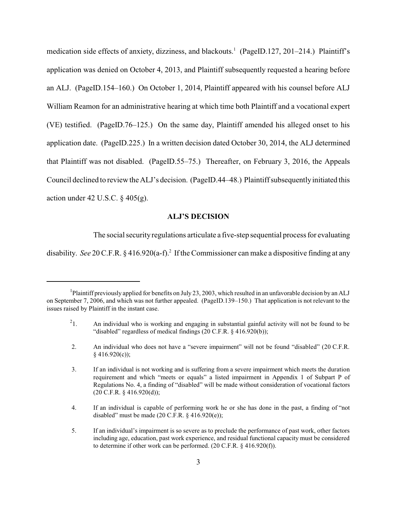medication side effects of anxiety, dizziness, and blackouts.<sup>1</sup> (PageID.127, 201–214.) Plaintiff's application was denied on October 4, 2013, and Plaintiff subsequently requested a hearing before an ALJ. (PageID.154–160.) On October 1, 2014, Plaintiff appeared with his counsel before ALJ William Reamon for an administrative hearing at which time both Plaintiff and a vocational expert (VE) testified. (PageID.76–125.) On the same day, Plaintiff amended his alleged onset to his application date. (PageID.225.) In a written decision dated October 30, 2014, the ALJ determined that Plaintiff was not disabled. (PageID.55–75.) Thereafter, on February 3, 2016, the Appeals Council declined to review the ALJ's decision. (PageID.44–48.) Plaintiff subsequentlyinitiated this action under 42 U.S.C.  $\S$  405(g).

### **ALJ'S DECISION**

The social security regulations articulate a five-step sequential process for evaluating

disability. See 20 C.F.R. § 416.920(a-f).<sup>2</sup> If the Commissioner can make a dispositive finding at any

<sup>&</sup>lt;sup>1</sup>Plaintiff previously applied for benefits on July 23, 2003, which resulted in an unfavorable decision by an ALJ on September 7, 2006, and which was not further appealed. (PageID.139–150.) That application is not relevant to the issues raised by Plaintiff in the instant case.

 $^{2}1$ . 1. An individual who is working and engaging in substantial gainful activity will not be found to be "disabled" regardless of medical findings (20 C.F.R. § 416.920(b));

 <sup>2.</sup> An individual who does not have a "severe impairment" will not be found "disabled" (20 C.F.R.  $§$  416.920(c));

 <sup>3.</sup> If an individual is not working and is suffering from a severe impairment which meets the duration requirement and which "meets or equals" a listed impairment in Appendix 1 of Subpart P of Regulations No. 4, a finding of "disabled" will be made without consideration of vocational factors (20 C.F.R. § 416.920(d));

 <sup>4.</sup> If an individual is capable of performing work he or she has done in the past, a finding of "not disabled" must be made  $(20 \text{ C.F.R. } § 416.920(e));$ 

<sup>5.</sup> If an individual's impairment is so severe as to preclude the performance of past work, other factors including age, education, past work experience, and residual functional capacity must be considered to determine if other work can be performed. (20 C.F.R. § 416.920(f)).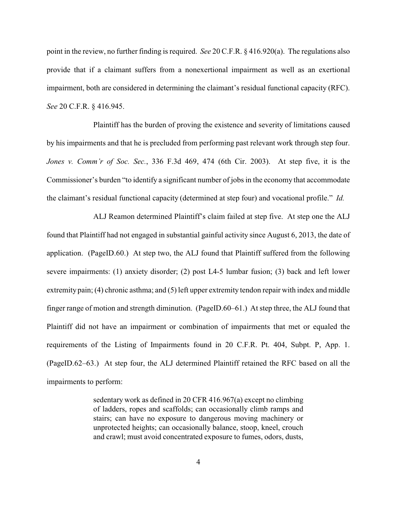point in the review, no further finding is required. *See* 20 C.F.R. § 416.920(a). The regulations also provide that if a claimant suffers from a nonexertional impairment as well as an exertional impairment, both are considered in determining the claimant's residual functional capacity (RFC). *See* 20 C.F.R. § 416.945.

Plaintiff has the burden of proving the existence and severity of limitations caused by his impairments and that he is precluded from performing past relevant work through step four. *Jones v. Comm'r of Soc. Sec.*, 336 F.3d 469, 474 (6th Cir. 2003). At step five, it is the Commissioner's burden "to identify a significant number of jobs in the economy that accommodate the claimant's residual functional capacity (determined at step four) and vocational profile." *Id.*

ALJ Reamon determined Plaintiff's claim failed at step five. At step one the ALJ found that Plaintiff had not engaged in substantial gainful activity since August 6, 2013, the date of application. (PageID.60.) At step two, the ALJ found that Plaintiff suffered from the following severe impairments: (1) anxiety disorder; (2) post L4-5 lumbar fusion; (3) back and left lower extremity pain; (4) chronic asthma; and (5) left upper extremity tendon repair with index and middle finger range of motion and strength diminution. (PageID.60–61.) At step three, the ALJ found that Plaintiff did not have an impairment or combination of impairments that met or equaled the requirements of the Listing of Impairments found in 20 C.F.R. Pt. 404, Subpt. P, App. 1. (PageID.62–63.) At step four, the ALJ determined Plaintiff retained the RFC based on all the impairments to perform:

> sedentary work as defined in 20 CFR 416.967(a) except no climbing of ladders, ropes and scaffolds; can occasionally climb ramps and stairs; can have no exposure to dangerous moving machinery or unprotected heights; can occasionally balance, stoop, kneel, crouch and crawl; must avoid concentrated exposure to fumes, odors, dusts,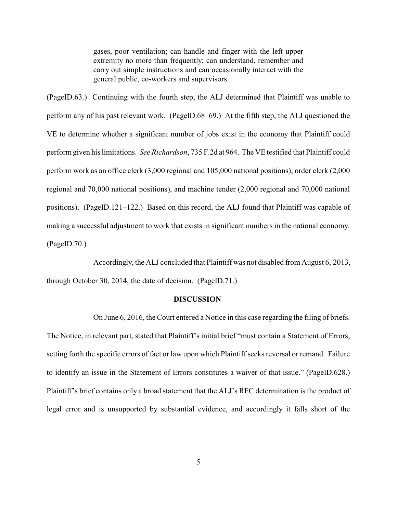gases, poor ventilation; can handle and finger with the left upper extremity no more than frequently; can understand, remember and carry out simple instructions and can occasionally interact with the general public, co-workers and supervisors.

(PageID.63.) Continuing with the fourth step, the ALJ determined that Plaintiff was unable to perform any of his past relevant work. (PageID.68–69.) At the fifth step, the ALJ questioned the VE to determine whether a significant number of jobs exist in the economy that Plaintiff could perform given his limitations. *See Richardson*, 735 F.2d at 964. The VE testified that Plaintiff could perform work as an office clerk (3,000 regional and 105,000 national positions), order clerk (2,000 regional and 70,000 national positions), and machine tender (2,000 regional and 70,000 national positions). (PageID.121–122.) Based on this record, the ALJ found that Plaintiff was capable of making a successful adjustment to work that exists in significant numbers in the national economy. (PageID.70.)

Accordingly, the ALJ concluded that Plaintiff was not disabled from August 6, 2013, through October 30, 2014, the date of decision. (PageID.71.)

#### **DISCUSSION**

On June 6, 2016, the Court entered a Notice in this case regarding the filing of briefs. The Notice, in relevant part, stated that Plaintiff's initial brief "must contain a Statement of Errors, setting forth the specific errors of fact or law upon which Plaintiff seeks reversal or remand. Failure to identify an issue in the Statement of Errors constitutes a waiver of that issue." (PageID.628.) Plaintiff's brief contains only a broad statement that the ALJ's RFC determination is the product of legal error and is unsupported by substantial evidence, and accordingly it falls short of the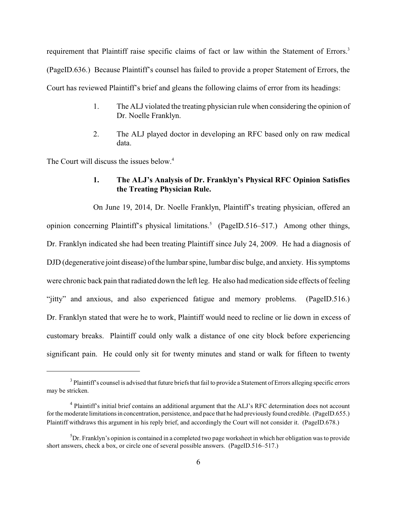requirement that Plaintiff raise specific claims of fact or law within the Statement of Errors.<sup>3</sup> (PageID.636.) Because Plaintiff's counsel has failed to provide a proper Statement of Errors, the Court has reviewed Plaintiff's brief and gleans the following claims of error from its headings:

- 1. The ALJ violated the treating physician rule when considering the opinion of Dr. Noelle Franklyn.
- 2. The ALJ played doctor in developing an RFC based only on raw medical data.

The Court will discuss the issues below.<sup>4</sup>

## **1. The ALJ's Analysis of Dr. Franklyn's Physical RFC Opinion Satisfies the Treating Physician Rule.**

On June 19, 2014, Dr. Noelle Franklyn, Plaintiff's treating physician, offered an opinion concerning Plaintiff's physical limitations.<sup>5</sup> (PageID.516–517.) Among other things, Dr. Franklyn indicated she had been treating Plaintiff since July 24, 2009. He had a diagnosis of DJD (degenerative joint disease) of the lumbar spine, lumbar disc bulge, and anxiety. His symptoms were chronic back pain that radiated down the left leg. He also had medication side effects of feeling "jitty" and anxious, and also experienced fatigue and memory problems. (PageID.516.) Dr. Franklyn stated that were he to work, Plaintiff would need to recline or lie down in excess of customary breaks. Plaintiff could only walk a distance of one city block before experiencing significant pain. He could only sit for twenty minutes and stand or walk for fifteen to twenty

 $3$  Plaintiff's counsel is advised that future briefs that fail to provide a Statement of Errors alleging specific errors may be stricken.

<sup>&</sup>lt;sup>4</sup> Plaintiff's initial brief contains an additional argument that the ALJ's RFC determination does not account for the moderate limitations in concentration, persistence, and pace that he had previously found credible. (PageID.655.) Plaintiff withdraws this argument in his reply brief, and accordingly the Court will not consider it. (PageID.678.)

 ${}^{5}$ Dr. Franklyn's opinion is contained in a completed two page worksheet in which her obligation was to provide short answers, check a box, or circle one of several possible answers. (PageID.516–517.)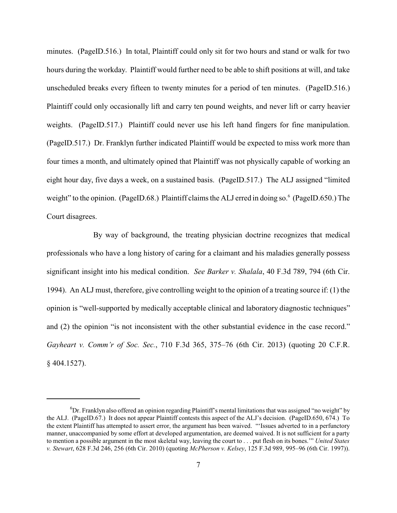minutes. (PageID.516.) In total, Plaintiff could only sit for two hours and stand or walk for two hours during the workday. Plaintiff would further need to be able to shift positions at will, and take unscheduled breaks every fifteen to twenty minutes for a period of ten minutes. (PageID.516.) Plaintiff could only occasionally lift and carry ten pound weights, and never lift or carry heavier weights. (PageID.517.) Plaintiff could never use his left hand fingers for fine manipulation. (PageID.517.) Dr. Franklyn further indicated Plaintiff would be expected to miss work more than four times a month, and ultimately opined that Plaintiff was not physically capable of working an eight hour day, five days a week, on a sustained basis. (PageID.517.) The ALJ assigned "limited weight" to the opinion. (PageID.68.) Plaintiff claims the ALJ erred in doing so.<sup>6</sup> (PageID.650.) The Court disagrees.

By way of background, the treating physician doctrine recognizes that medical professionals who have a long history of caring for a claimant and his maladies generally possess significant insight into his medical condition. *See Barker v. Shalala*, 40 F.3d 789, 794 (6th Cir. 1994). An ALJ must, therefore, give controlling weight to the opinion of a treating source if: (1) the opinion is "well-supported by medically acceptable clinical and laboratory diagnostic techniques" and (2) the opinion "is not inconsistent with the other substantial evidence in the case record." *Gayheart v. Comm'r of Soc. Sec.*, 710 F.3d 365, 375–76 (6th Cir. 2013) (quoting 20 C.F.R. § 404.1527).

 ${}^{6}$ Dr. Franklyn also offered an opinion regarding Plaintiff's mental limitations that was assigned "no weight" by the ALJ. (PageID.67.) It does not appear Plaintiff contests this aspect of the ALJ's decision. (PageID.650, 674.) To the extent Plaintiff has attempted to assert error, the argument has been waived. "'Issues adverted to in a perfunctory manner, unaccompanied by some effort at developed argumentation, are deemed waived. It is not sufficient for a party to mention a possible argument in the most skeletal way, leaving the court to . . . put flesh on its bones.'" *United States v. Stewart*, 628 F.3d 246, 256 (6th Cir. 2010) (quoting *McPherson v. Kelsey*, 125 F.3d 989, 995–96 (6th Cir. 1997)).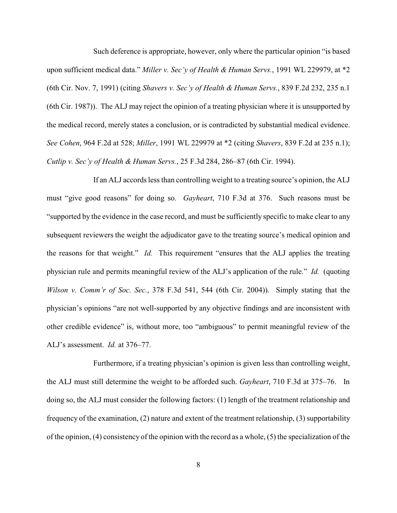Such deference is appropriate, however, only where the particular opinion "is based upon sufficient medical data." *Miller v. Sec'y of Health & Human Servs.*, 1991 WL 229979, at \*2 (6th Cir. Nov. 7, 1991) (citing *Shavers v. Sec'y of Health & Human Servs.*, 839 F.2d 232, 235 n.1 (6th Cir. 1987)). The ALJ may reject the opinion of a treating physician where it is unsupported by the medical record, merely states a conclusion, or is contradicted by substantial medical evidence. *See Cohen*, 964 F.2d at 528; *Miller*, 1991 WL 229979 at \*2 (citing *Shavers*, 839 F.2d at 235 n.1); *Cutlip v. Sec'y of Health & Human Servs.*, 25 F.3d 284, 286–87 (6th Cir. 1994).

If an ALJ accords less than controlling weight to a treating source's opinion, the ALJ must "give good reasons" for doing so. *Gayheart*, 710 F.3d at 376. Such reasons must be "supported by the evidence in the case record, and must be sufficiently specific to make clear to any subsequent reviewers the weight the adjudicator gave to the treating source's medical opinion and the reasons for that weight." *Id.* This requirement "ensures that the ALJ applies the treating physician rule and permits meaningful review of the ALJ's application of the rule." *Id.* (quoting *Wilson v. Comm'r of Soc. Sec.*, 378 F.3d 541, 544 (6th Cir. 2004)). Simply stating that the physician's opinions "are not well-supported by any objective findings and are inconsistent with other credible evidence" is, without more, too "ambiguous" to permit meaningful review of the ALJ's assessment. *Id.* at 376–77.

Furthermore, if a treating physician's opinion is given less than controlling weight, the ALJ must still determine the weight to be afforded such. *Gayheart*, 710 F.3d at 375–76. In doing so, the ALJ must consider the following factors: (1) length of the treatment relationship and frequency of the examination, (2) nature and extent of the treatment relationship, (3) supportability of the opinion, (4) consistency of the opinion with the record as a whole, (5) the specialization of the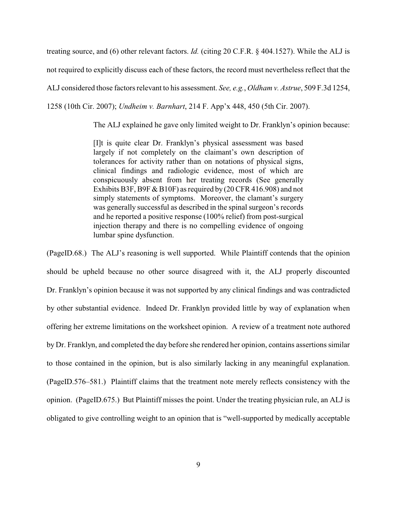treating source, and (6) other relevant factors. *Id.* (citing 20 C.F.R. § 404.1527). While the ALJ is not required to explicitly discuss each of these factors, the record must nevertheless reflect that the

ALJ considered those factors relevant to his assessment. *See, e.g.*, *Oldham v. Astrue*, 509 F.3d 1254,

1258 (10th Cir. 2007); *Undheim v. Barnhart*, 214 F. App'x 448, 450 (5th Cir. 2007).

The ALJ explained he gave only limited weight to Dr. Franklyn's opinion because:

[I]t is quite clear Dr. Franklyn's physical assessment was based largely if not completely on the claimant's own description of tolerances for activity rather than on notations of physical signs, clinical findings and radiologic evidence, most of which are conspicuously absent from her treating records (See generally Exhibits B3F, B9F & B10F) as required by (20 CFR 416.908) and not simply statements of symptoms. Moreover, the clamant's surgery was generally successful as described in the spinal surgeon's records and he reported a positive response (100% relief) from post-surgical injection therapy and there is no compelling evidence of ongoing lumbar spine dysfunction.

(PageID.68.) The ALJ's reasoning is well supported. While Plaintiff contends that the opinion should be upheld because no other source disagreed with it, the ALJ properly discounted Dr. Franklyn's opinion because it was not supported by any clinical findings and was contradicted by other substantial evidence. Indeed Dr. Franklyn provided little by way of explanation when offering her extreme limitations on the worksheet opinion. A review of a treatment note authored by Dr. Franklyn, and completed the day before she rendered her opinion, contains assertions similar to those contained in the opinion, but is also similarly lacking in any meaningful explanation. (PageID.576–581.) Plaintiff claims that the treatment note merely reflects consistency with the opinion. (PageID.675.) But Plaintiff misses the point. Under the treating physician rule, an ALJ is obligated to give controlling weight to an opinion that is "well-supported by medically acceptable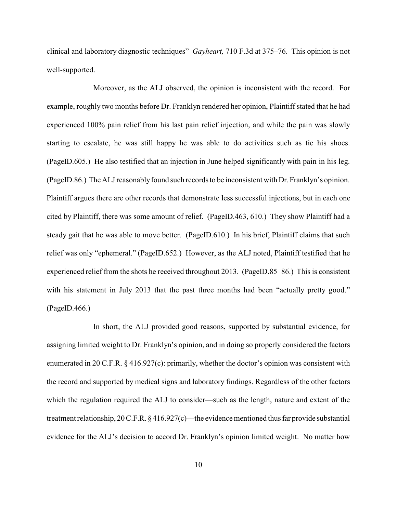clinical and laboratory diagnostic techniques" *Gayheart,* 710 F.3d at 375–76. This opinion is not well-supported.

Moreover, as the ALJ observed, the opinion is inconsistent with the record. For example, roughly two months before Dr. Franklyn rendered her opinion, Plaintiff stated that he had experienced 100% pain relief from his last pain relief injection, and while the pain was slowly starting to escalate, he was still happy he was able to do activities such as tie his shoes. (PageID.605.) He also testified that an injection in June helped significantly with pain in his leg. (PageID.86.) The ALJreasonablyfound such records to be inconsistent with Dr. Franklyn's opinion. Plaintiff argues there are other records that demonstrate less successful injections, but in each one cited by Plaintiff, there was some amount of relief. (PageID.463, 610.) They show Plaintiff had a steady gait that he was able to move better. (PageID.610.) In his brief, Plaintiff claims that such relief was only "ephemeral." (PageID.652.) However, as the ALJ noted, Plaintiff testified that he experienced relief from the shots he received throughout 2013. (PageID.85–86.) This is consistent with his statement in July 2013 that the past three months had been "actually pretty good." (PageID.466.)

In short, the ALJ provided good reasons, supported by substantial evidence, for assigning limited weight to Dr. Franklyn's opinion, and in doing so properly considered the factors enumerated in 20 C.F.R. § 416.927(c): primarily, whether the doctor's opinion was consistent with the record and supported by medical signs and laboratory findings. Regardless of the other factors which the regulation required the ALJ to consider—such as the length, nature and extent of the treatment relationship, 20 C.F.R. § 416.927(c)—the evidence mentioned thus far provide substantial evidence for the ALJ's decision to accord Dr. Franklyn's opinion limited weight. No matter how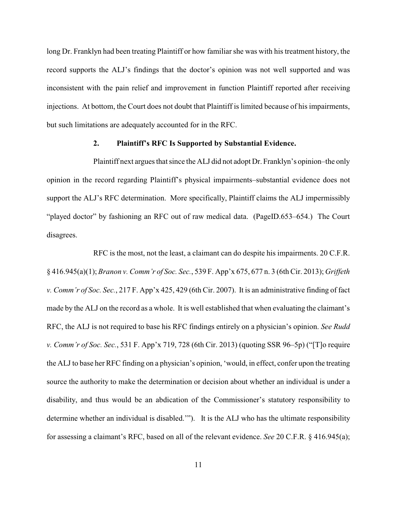long Dr. Franklyn had been treating Plaintiff or how familiar she was with his treatment history, the record supports the ALJ's findings that the doctor's opinion was not well supported and was inconsistent with the pain relief and improvement in function Plaintiff reported after receiving injections. At bottom, the Court does not doubt that Plaintiff is limited because of his impairments, but such limitations are adequately accounted for in the RFC.

### **2. Plaintiff's RFC Is Supported by Substantial Evidence.**

Plaintiff next argues that since the ALJ did not adopt Dr. Franklyn's opinion–the only opinion in the record regarding Plaintiff's physical impairments–substantial evidence does not support the ALJ's RFC determination. More specifically, Plaintiff claims the ALJ impermissibly "played doctor" by fashioning an RFC out of raw medical data. (PageID.653–654.) The Court disagrees.

RFC is the most, not the least, a claimant can do despite his impairments. 20 C.F.R. § 416.945(a)(1); *Branon v. Comm'r of Soc. Sec.*, 539 F. App'x 675, 677 n. 3 (6th Cir. 2013); *Griffeth v. Comm'r of Soc. Sec.*, 217 F. App'x 425, 429 (6th Cir. 2007). It is an administrative finding of fact made by the ALJ on the record as a whole. It is well established that when evaluating the claimant's RFC, the ALJ is not required to base his RFC findings entirely on a physician's opinion. *See Rudd v. Comm'r of Soc. Sec.*, 531 F. App'x 719, 728 (6th Cir. 2013) (quoting SSR 96–5p) ("[T]o require the ALJ to base her RFC finding on a physician's opinion, 'would, in effect, confer upon the treating source the authority to make the determination or decision about whether an individual is under a disability, and thus would be an abdication of the Commissioner's statutory responsibility to determine whether an individual is disabled.'"). It is the ALJ who has the ultimate responsibility for assessing a claimant's RFC, based on all of the relevant evidence. *See* 20 C.F.R. § 416.945(a);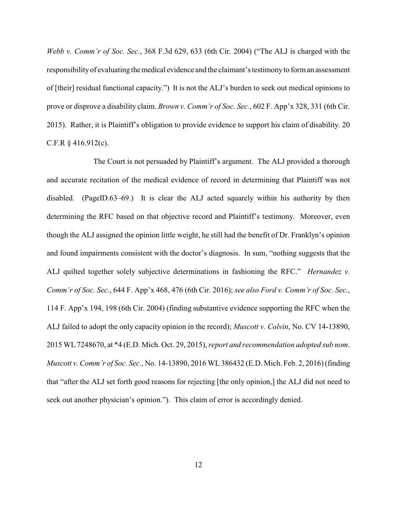*Webb v. Comm'r of Soc. Sec.*, 368 F.3d 629, 633 (6th Cir. 2004) ("The ALJ is charged with the responsibility of evaluating themedical evidence and the claimant's testimonyto form an assessment of [their] residual functional capacity.") It is not the ALJ's burden to seek out medical opinions to prove or disprove a disability claim. *Brown v. Comm'r of Soc. Sec.*, 602 F. App'x 328, 331 (6th Cir. 2015). Rather, it is Plaintiff's obligation to provide evidence to support his claim of disability. 20 C.F.R § 416.912(c).

The Court is not persuaded by Plaintiff's argument. The ALJ provided a thorough and accurate recitation of the medical evidence of record in determining that Plaintiff was not disabled. (PageID.63–69.) It is clear the ALJ acted squarely within his authority by then determining the RFC based on that objective record and Plaintiff's testimony. Moreover, even though the ALJ assigned the opinion little weight, he still had the benefit of Dr. Franklyn's opinion and found impairments consistent with the doctor's diagnosis. In sum, "nothing suggests that the ALJ quilted together solely subjective determinations in fashioning the RFC." *Hernandez v. Comm'r of Soc. Sec.*, 644 F. App'x 468, 476 (6th Cir. 2016); *see also Ford v. Comm'r of Soc. Sec.*, 114 F. App'x 194, 198 (6th Cir. 2004) (finding substantive evidence supporting the RFC when the ALJ failed to adopt the only capacity opinion in the record); *Muscott v. Colvin*, No. CV 14-13890, 2015 WL7248670, at \*4 (E.D. Mich. Oct. 29, 2015), *report and recommendation adopted sub nom*. *Muscott v. Comm'r of Soc. Sec.*, No. 14-13890, 2016 WL 386432 (E.D. Mich. Feb. 2, 2016) (finding that "after the ALJ set forth good reasons for rejecting [the only opinion,] the ALJ did not need to seek out another physician's opinion."). This claim of error is accordingly denied.